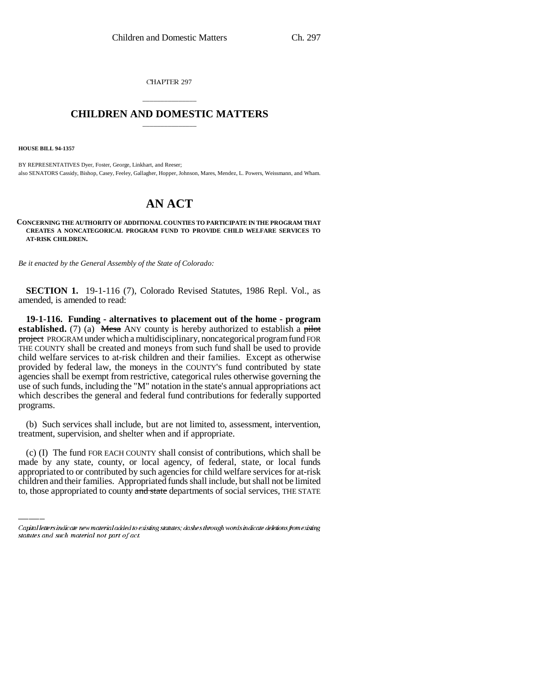CHAPTER 297

## \_\_\_\_\_\_\_\_\_\_\_\_\_\_\_ **CHILDREN AND DOMESTIC MATTERS** \_\_\_\_\_\_\_\_\_\_\_\_\_\_\_

**HOUSE BILL 94-1357**

BY REPRESENTATIVES Dyer, Foster, George, Linkhart, and Reeser; also SENATORS Cassidy, Bishop, Casey, Feeley, Gallagher, Hopper, Johnson, Mares, Mendez, L. Powers, Weissmann, and Wham.

## **AN ACT**

**CONCERNING THE AUTHORITY OF ADDITIONAL COUNTIES TO PARTICIPATE IN THE PROGRAM THAT CREATES A NONCATEGORICAL PROGRAM FUND TO PROVIDE CHILD WELFARE SERVICES TO AT-RISK CHILDREN.**

*Be it enacted by the General Assembly of the State of Colorado:*

**SECTION 1.** 19-1-116 (7), Colorado Revised Statutes, 1986 Repl. Vol., as amended, is amended to read:

**19-1-116. Funding - alternatives to placement out of the home - program established.** (7) (a)  $\overline{\text{Mesa}}$  ANY county is hereby authorized to establish a pilot project PROGRAM under which a multidisciplinary, noncategorical program fund FOR THE COUNTY shall be created and moneys from such fund shall be used to provide child welfare services to at-risk children and their families. Except as otherwise provided by federal law, the moneys in the COUNTY'S fund contributed by state agencies shall be exempt from restrictive, categorical rules otherwise governing the use of such funds, including the "M" notation in the state's annual appropriations act which describes the general and federal fund contributions for federally supported programs.

(b) Such services shall include, but are not limited to, assessment, intervention, treatment, supervision, and shelter when and if appropriate.

(c) (I) The fund FOR EACH COUNTY shall consist of contributions, which shall be made by any state, county, or local agency, of federal, state, or local funds appropriated to or contributed by such agencies for child welfare services for at-risk children and their families. Appropriated funds shall include, but shall not be limited to, those appropriated to county and state departments of social services, THE STATE

Capital letters indicate new material added to existing statutes; dashes through words indicate deletions from existing statutes and such material not part of act.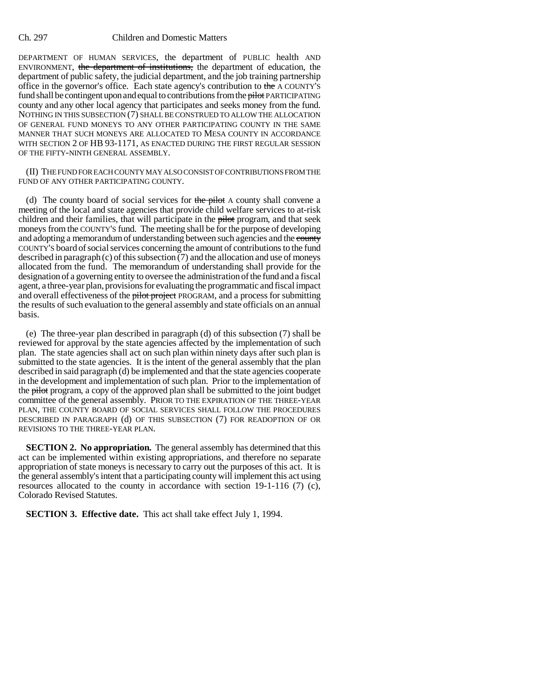## Ch. 297 Children and Domestic Matters

DEPARTMENT OF HUMAN SERVICES, the department of PUBLIC health AND ENVIRONMENT, the department of institutions, the department of education, the department of public safety, the judicial department, and the job training partnership office in the governor's office. Each state agency's contribution to the A COUNTY'S fund shall be contingent upon and equal to contributions from the pilot PARTICIPATING county and any other local agency that participates and seeks money from the fund. NOTHING IN THIS SUBSECTION (7) SHALL BE CONSTRUED TO ALLOW THE ALLOCATION OF GENERAL FUND MONEYS TO ANY OTHER PARTICIPATING COUNTY IN THE SAME MANNER THAT SUCH MONEYS ARE ALLOCATED TO MESA COUNTY IN ACCORDANCE WITH SECTION 2 OF HB 93-1171, AS ENACTED DURING THE FIRST REGULAR SESSION OF THE FIFTY-NINTH GENERAL ASSEMBLY.

(II) THE FUND FOR EACH COUNTY MAY ALSO CONSIST OF CONTRIBUTIONS FROM THE FUND OF ANY OTHER PARTICIPATING COUNTY.

(d) The county board of social services for the pilot  $A$  county shall convene a meeting of the local and state agencies that provide child welfare services to at-risk children and their families, that will participate in the pilot program, and that seek moneys from the COUNTY'S fund. The meeting shall be for the purpose of developing and adopting a memorandum of understanding between such agencies and the county COUNTY'S board of social services concerning the amount of contributions to the fund described in paragraph (c) of this subsection  $(7)$  and the allocation and use of moneys allocated from the fund. The memorandum of understanding shall provide for the designation of a governing entity to oversee the administration of the fund and a fiscal agent, a three-year plan, provisions for evaluating the programmatic and fiscal impact and overall effectiveness of the pilot project PROGRAM, and a process for submitting the results of such evaluation to the general assembly and state officials on an annual basis.

(e) The three-year plan described in paragraph (d) of this subsection (7) shall be reviewed for approval by the state agencies affected by the implementation of such plan. The state agencies shall act on such plan within ninety days after such plan is submitted to the state agencies. It is the intent of the general assembly that the plan described in said paragraph (d) be implemented and that the state agencies cooperate in the development and implementation of such plan. Prior to the implementation of the pilot program, a copy of the approved plan shall be submitted to the joint budget committee of the general assembly. PRIOR TO THE EXPIRATION OF THE THREE-YEAR PLAN, THE COUNTY BOARD OF SOCIAL SERVICES SHALL FOLLOW THE PROCEDURES DESCRIBED IN PARAGRAPH (d) OF THIS SUBSECTION (7) FOR READOPTION OF OR REVISIONS TO THE THREE-YEAR PLAN.

**SECTION 2. No appropriation.** The general assembly has determined that this act can be implemented within existing appropriations, and therefore no separate appropriation of state moneys is necessary to carry out the purposes of this act. It is the general assembly's intent that a participating county will implement this act using resources allocated to the county in accordance with section 19-1-116 (7) (c), Colorado Revised Statutes.

**SECTION 3. Effective date.** This act shall take effect July 1, 1994.